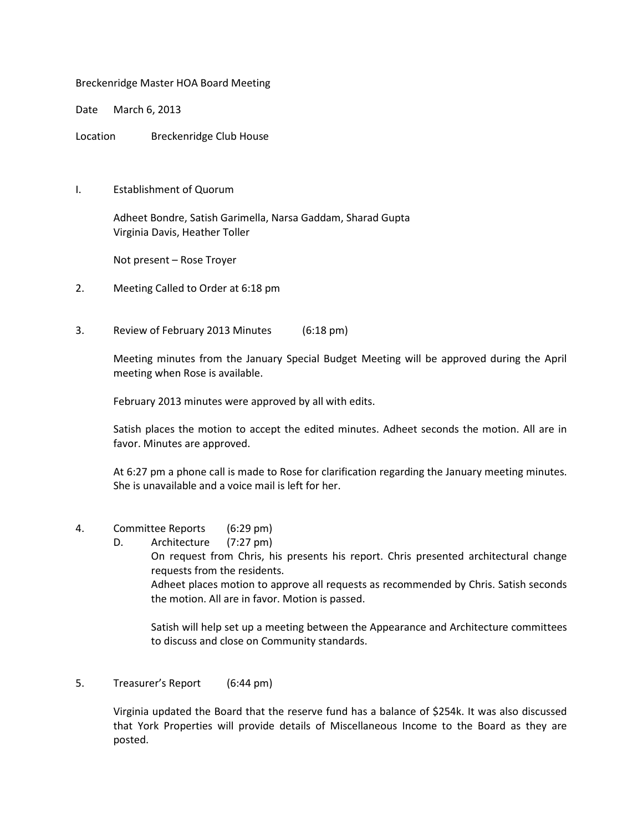## Breckenridge Master HOA Board Meeting

Date March 6, 2013

Location Breckenridge Club House

I. Establishment of Quorum

 Adheet Bondre, Satish Garimella, Narsa Gaddam, Sharad Gupta Virginia Davis, Heather Toller

Not present – Rose Troyer

- 2. Meeting Called to Order at 6:18 pm
- 3. Review of February 2013 Minutes (6:18 pm)

 Meeting minutes from the January Special Budget Meeting will be approved during the April meeting when Rose is available.

February 2013 minutes were approved by all with edits.

Satish places the motion to accept the edited minutes. Adheet seconds the motion. All are in favor. Minutes are approved.

At 6:27 pm a phone call is made to Rose for clarification regarding the January meeting minutes. She is unavailable and a voice mail is left for her.

- 4. Committee Reports (6:29 pm)
	- D. Architecture (7:27 pm) On request from Chris, his presents his report. Chris presented architectural change requests from the residents. Adheet places motion to approve all requests as recommended by Chris. Satish seconds the motion. All are in favor. Motion is passed.

Satish will help set up a meeting between the Appearance and Architecture committees to discuss and close on Community standards.

5. Treasurer's Report (6:44 pm)

 Virginia updated the Board that the reserve fund has a balance of \$254k. It was also discussed that York Properties will provide details of Miscellaneous Income to the Board as they are posted.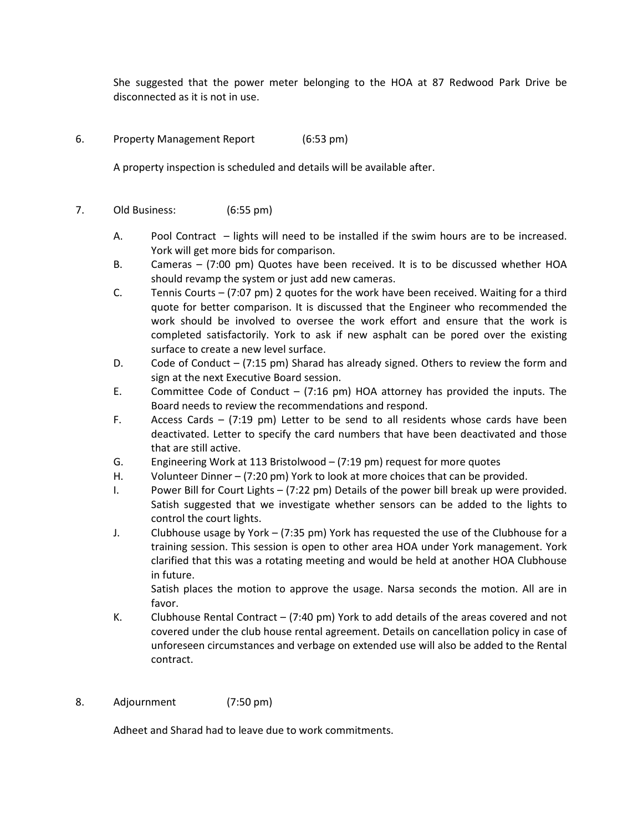She suggested that the power meter belonging to the HOA at 87 Redwood Park Drive be disconnected as it is not in use.

6. Property Management Report (6:53 pm)

A property inspection is scheduled and details will be available after.

- 7. Old Business: (6:55 pm)
	- A. Pool Contract lights will need to be installed if the swim hours are to be increased. York will get more bids for comparison.
	- B. Cameras (7:00 pm) Quotes have been received. It is to be discussed whether HOA should revamp the system or just add new cameras.
	- C. Tennis Courts (7:07 pm) 2 quotes for the work have been received. Waiting for a third quote for better comparison. It is discussed that the Engineer who recommended the work should be involved to oversee the work effort and ensure that the work is completed satisfactorily. York to ask if new asphalt can be pored over the existing surface to create a new level surface.
	- D. Code of Conduct (7:15 pm) Sharad has already signed. Others to review the form and sign at the next Executive Board session.
	- E. Committee Code of Conduct (7:16 pm) HOA attorney has provided the inputs. The Board needs to review the recommendations and respond.
	- F. Access Cards (7:19 pm) Letter to be send to all residents whose cards have been deactivated. Letter to specify the card numbers that have been deactivated and those that are still active.
	- G. Engineering Work at 113 Bristolwood (7:19 pm) request for more quotes
	- H. Volunteer Dinner (7:20 pm) York to look at more choices that can be provided.
	- I. Power Bill for Court Lights (7:22 pm) Details of the power bill break up were provided. Satish suggested that we investigate whether sensors can be added to the lights to control the court lights.
	- J. Clubhouse usage by York (7:35 pm) York has requested the use of the Clubhouse for a training session. This session is open to other area HOA under York management. York clarified that this was a rotating meeting and would be held at another HOA Clubhouse in future.

Satish places the motion to approve the usage. Narsa seconds the motion. All are in favor.

- K. Clubhouse Rental Contract (7:40 pm) York to add details of the areas covered and not covered under the club house rental agreement. Details on cancellation policy in case of unforeseen circumstances and verbage on extended use will also be added to the Rental contract.
- 8. Adjournment (7:50 pm)

Adheet and Sharad had to leave due to work commitments.